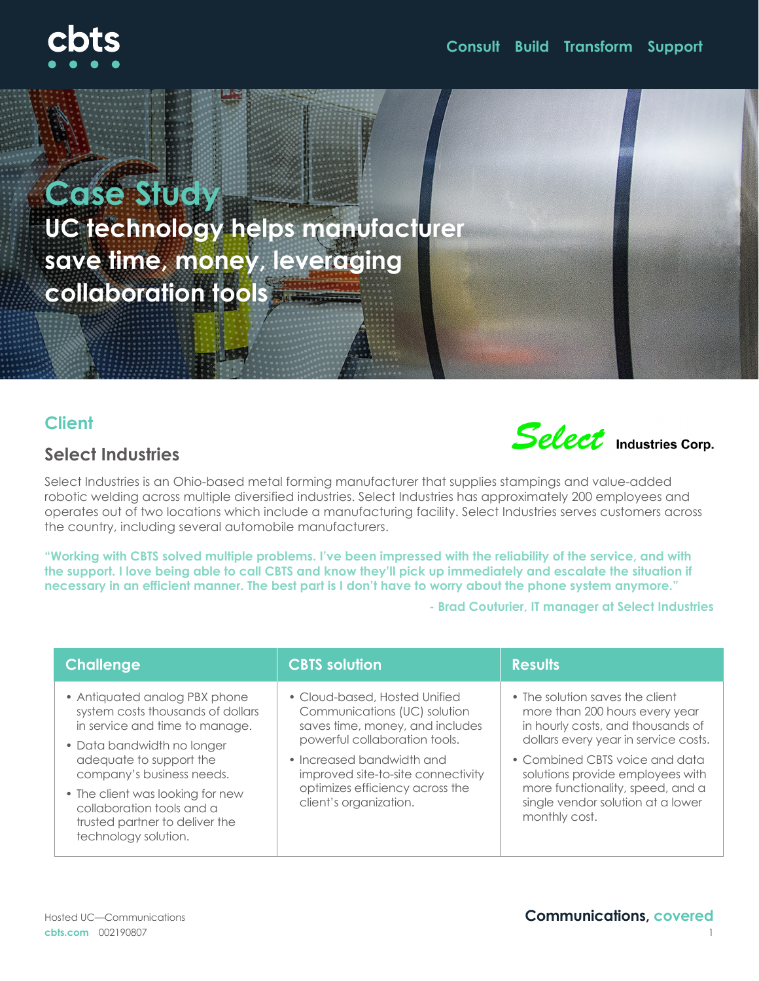# **Case Study UC technology helps manufacturer save time, money, leveraging collaboration tools**

# **Client**

## **Select Industries**

Select Industries is an Ohio-based metal forming manufacturer that supplies stampings and value-added robotic welding across multiple diversified industries. Select Industries has approximately 200 employees and operates out of two locations which include a manufacturing facility. Select Industries serves customers across the country, including several automobile manufacturers.

**"Working with CBTS solved multiple problems. I've been impressed with the reliability of the service, and with the support. I love being able to call CBTS and know they'll pick up immediately and escalate the situation if necessary in an efficient manner. The best part is I don't have to worry about the phone system anymore."** 

**- Brad Couturier, IT manager at Select Industries**

| <b>Challenge</b>                                                                                                        | <b>CBTS solution</b>                                                                                                                                                                                                                                              | <b>Results</b>                                                                                                                                               |
|-------------------------------------------------------------------------------------------------------------------------|-------------------------------------------------------------------------------------------------------------------------------------------------------------------------------------------------------------------------------------------------------------------|--------------------------------------------------------------------------------------------------------------------------------------------------------------|
| • Antiquated analog PBX phone<br>system costs thousands of dollars<br>in service and time to manage.                    | • Cloud-based, Hosted Unified<br>Communications (UC) solution<br>saves time, money, and includes<br>powerful collaboration tools.<br>• Increased bandwidth and<br>improved site-to-site connectivity<br>optimizes efficiency across the<br>client's organization. | • The solution saves the client<br>more than 200 hours every year<br>in hourly costs, and thousands of<br>dollars every year in service costs.               |
| • Data bandwidth no longer<br>adequate to support the<br>company's business needs.                                      |                                                                                                                                                                                                                                                                   | • Combined CBTS voice and data<br>solutions provide employees with<br>more functionality, speed, and a<br>single vendor solution at a lower<br>monthly cost. |
| • The client was looking for new<br>collaboration tools and a<br>trusted partner to deliver the<br>technology solution. |                                                                                                                                                                                                                                                                   |                                                                                                                                                              |



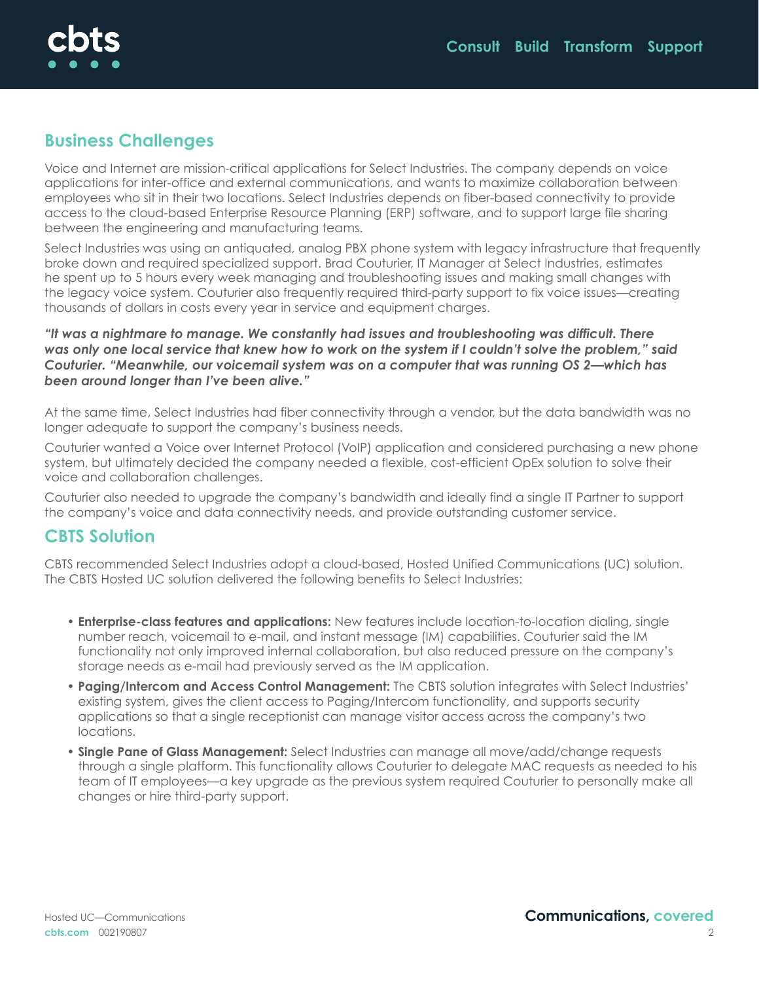

#### **Business Challenges**

Voice and Internet are mission-critical applications for Select Industries. The company depends on voice applications for inter-office and external communications, and wants to maximize collaboration between employees who sit in their two locations. Select Industries depends on fiber-based connectivity to provide access to the cloud-based Enterprise Resource Planning (ERP) software, and to support large file sharing between the engineering and manufacturing teams.

Select Industries was using an antiquated, analog PBX phone system with legacy infrastructure that frequently broke down and required specialized support. Brad Couturier, IT Manager at Select Industries, estimates he spent up to 5 hours every week managing and troubleshooting issues and making small changes with the legacy voice system. Couturier also frequently required third-party support to fix voice issues—creating thousands of dollars in costs every year in service and equipment charges.

*"It was a nightmare to manage. We constantly had issues and troubleshooting was difficult. There was only one local service that knew how to work on the system if I couldn't solve the problem," said Couturier. "Meanwhile, our voicemail system was on a computer that was running OS 2—which has been around longer than I've been alive."*

At the same time, Select Industries had fiber connectivity through a vendor, but the data bandwidth was no longer adequate to support the company's business needs.

Couturier wanted a Voice over Internet Protocol (VoIP) application and considered purchasing a new phone system, but ultimately decided the company needed a flexible, cost-efficient OpEx solution to solve their voice and collaboration challenges.

Couturier also needed to upgrade the company's bandwidth and ideally find a single IT Partner to support the company's voice and data connectivity needs, and provide outstanding customer service.

#### **CBTS Solution**

CBTS recommended Select Industries adopt a cloud-based, Hosted Unified Communications (UC) solution. The CBTS Hosted UC solution delivered the following benefits to Select Industries:

- **• Enterprise-class features and applications:** New features include location-to-location dialing, single number reach, voicemail to e-mail, and instant message (IM) capabilities. Couturier said the IM functionality not only improved internal collaboration, but also reduced pressure on the company's storage needs as e-mail had previously served as the IM application.
- **• Paging/Intercom and Access Control Management:** The CBTS solution integrates with Select Industries' existing system, gives the client access to Paging/Intercom functionality, and supports security applications so that a single receptionist can manage visitor access across the company's two locations.
- **• Single Pane of Glass Management:** Select Industries can manage all move/add/change requests through a single platform. This functionality allows Couturier to delegate MAC requests as needed to his team of IT employees—a key upgrade as the previous system required Couturier to personally make all changes or hire third-party support.